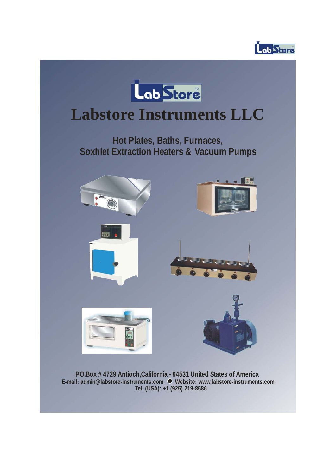



# **Labstore Instruments LLC**

Hot Plates, Baths, Furnaces, **Soxhlet Extraction Heaters & Vacuum Pumps**



**P.O.Box # 4729 Antioch,California - 94531 United States of America E-mail: admin@labstore-instruments.com Website: www.labstore-instruments.com Tel. (USA): +1 (925) 219-8586**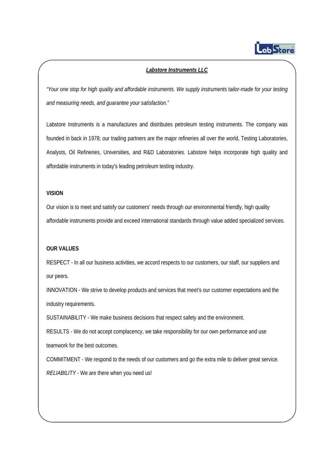

## *Labstore Instruments LLC*

*"Your one stop for high quality and affordable instruments. We supply instruments tailor-made for your testing and measuring needs, and guarantee your satisfaction."*

Labstore Instruments is a manufactures and distributes petroleum testing instruments. The company was founded in back in 1978; our trading partners are the major refineries all over the world, Testing Laboratories, Analysts, Oil Refineries, Universities, and R&D Laboratories. Labstore helps incorporate high quality and affordable instruments in today's leading petroleum testing industry.

#### **VISION**

Our vision is to meet and satisfy our customers' needs through our environmental friendly, high quality affordable instruments provide and exceed international standards through value added specialized services.

#### **OUR VALUES**

RESPECT - In all our business activities, we accord respects to our customers, our staff, our suppliers and our peers.

INNOVATION - We strive to develop products and services that meet's our customer expectations and the industry requirements.

SUSTAINABILITY - We make business decisions that respect safety and the environment.

RESULTS - We do not accept complacency, we take responsibility for our own performance and use teamwork for the best outcomes.

COMMITMENT - We respond to the needs of our customers and go the extra mile to deliver great service.

*RELIABILITY* - We are there when you need us!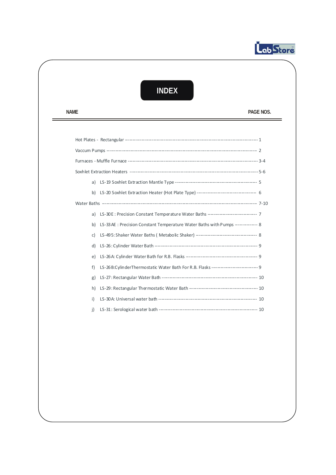

=

## **INDEX**

NAME PAGE NOS.

|    | b) LS-20 Soxhlet Extraction Heater (Hot Plate Type) ---------------------------------- 6 |  |
|----|------------------------------------------------------------------------------------------|--|
|    |                                                                                          |  |
|    |                                                                                          |  |
| b) | LS-33 AE: Precision Constant Temperature Water Baths with Pumps ------------- 8          |  |
| c) |                                                                                          |  |
| d) |                                                                                          |  |
| e) |                                                                                          |  |
| f) | LS-26 B:CylinderThermostatic Water Bath For R.B. Flasks ------------------------- 9      |  |
| g) |                                                                                          |  |
| h) |                                                                                          |  |
| i) |                                                                                          |  |
| i) |                                                                                          |  |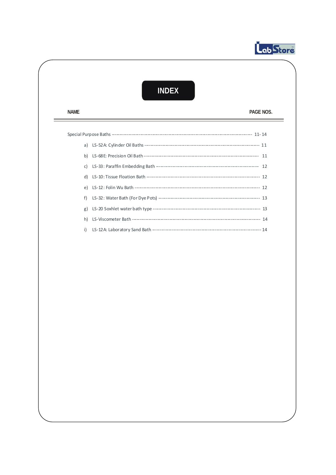

## **INDEX**

**NAME** 

PAGE NOS.

 $\overline{\phantom{a}}$ 

| f) |  |
|----|--|
|    |  |
|    |  |
| i) |  |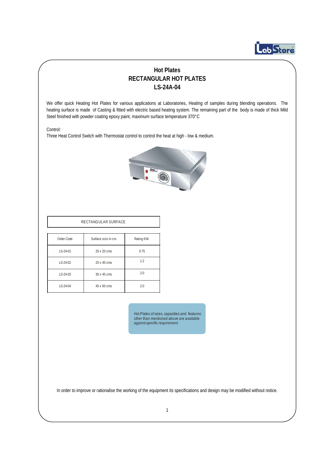

## **Hot Plates RECTANGULAR HOT PLATES LS-24A-04**

We offer quick Heating Hot Plates for various applications at Laboratories, Heating of samples during blending operations. The heating surface is made of Casting & fitted with electric based heating system. The remaining part of the body is made of thick Mild Steel finished with powder coating epoxy paint, maximum surface temperature 370°C

Control:

Three Heat Control Switch with Thermostat control to control the heat at high - low & medium.



| Order Code | Surface size in cm. | Rating KW. |
|------------|---------------------|------------|
| LS-24-01   | 20 x 20 cms         | 0.75       |
| LS-24-02   | 25 x 40 cms         | 1.2        |
| LS-24-03   | 30 x 45 cms         | 2.0        |
| LS-24-04   | 45 x 60 cms         | 2.0        |

 Hot Plates of sizes, capacities and features other than mentioned above are available against specific requirement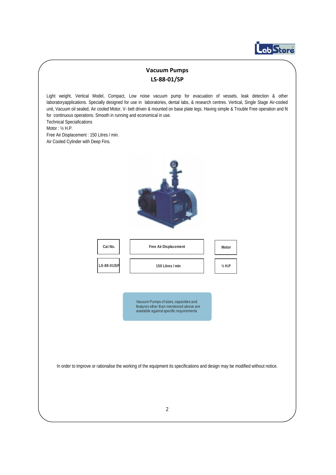

## **Vacuum Pumps LS‐88‐01/SP**

Light weight, Vertical Model, Compact, Low noise vacuum pump for evacuation of vessels, leak detection & other laboratoryapplications. Specially designed for use in laboratories, dental labs, & research centres. Vertical, Single Stage Air-cooled unit, Vacuum oil sealed, Air cooled Motor, V- belt driven & mounted on base plate legs. Having simple & Trouble Free operation and fit for continuous operations. Smooth in running and economical in use. Technical Speciafications Motor : ½ H.P. Free Air Displacement : 150 Litres / min. Air Cooled Cylinder with Deep Fins. Cat No. | | Free Air Displacement | Motor **LS-88-01/SP 150 Litres / min ½ H.P** Vacuum Pumps of sizes, capacities and features other than mentioned above are available against specific requirements In order to improve or rationalise the working of the equipment its specifications and design may be modified without notice. 2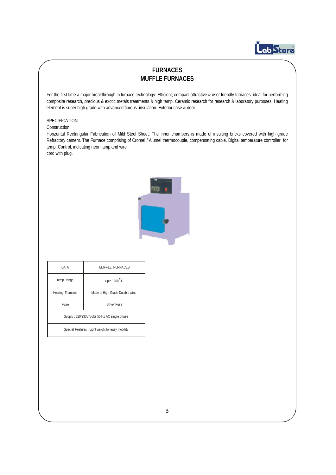# Lob Store

## **FURNACES MUFFLE FURNACES**

For the first time a major breakthrough in furnace technology. Efficient, compact attractive & user friendly furnaces ideal for performing composite research, precious & exotic metals treatments & high temp. Ceramic research for research & laboratory purposes. Heating element is super high grade with advanced fibrous insulation. Exterior case & door

#### SPECIFICATION

#### Construction :

Horizontal Rectangular Fabrication of Mild Steel Sheet. The inner chambers is made of insulting bricks covered with high grade Refractory cement. The Furnace comprising of Cromel / Alumel thermocouple, compensating cable, Digital temperature controller for temp, Control, indicating neon lamp and wire cord with plug.



| <b>DATA</b>                                  | MUFFLE FURNACES                 |  |
|----------------------------------------------|---------------------------------|--|
| Temp.Range                                   | Upto $1200^{\circ}$ C           |  |
| <b>Heating Elements</b>                      | Made of High Grade Durable wine |  |
| <b>Fuse</b>                                  | Silver Fuse                     |  |
| Supply: 220/230V Volts 50 Hz AC single phase |                                 |  |

Special Features : Light weight for easy mobility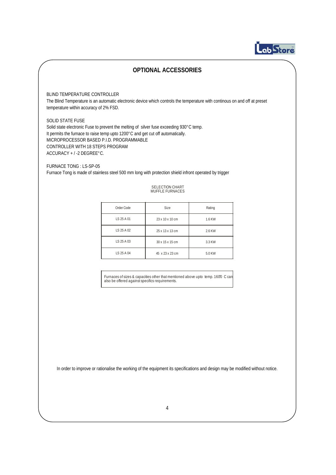

## **OPTIONAL ACCESSORIES**

#### BLIND TEMPERATURE CONTROLLER

The Blind Temperature is an automatic electronic device which controls the temperature with continous on and off at preset temperature within accuracy of 2% FSD.

#### SOLID STATE FUSE

Solid state electronic Fuse to prevent the melting of silver fuse exceeding 930°C temp. It permits the furnace to raise temp upto 1200°C and get cut off automatically. MICROPROCESSOR BASED P.I.D. PROGRAMMABLE CONTROLLER WITH 18 STEPS PROGRAM ACCURACY + / -2 DEGREE°C.

FURNACE TONG : LS-SP-05 Furnace Tong is made of stainless steel 500 mm long with protection shield infront operated by trigger

## SELECTION CHART MUFFLE FURNACES

| Order Code | Size            | Rating |
|------------|-----------------|--------|
| IS 25 A 01 | 23 x 10 x 10 cm | 1.6 KW |
| LS 25 A 02 | 25 x 13 x 13 cm | 2.6 KW |
| LS 25 A 03 | 30 x 15 x 15 cm | 3.3 KW |
| LS 25 A 04 | 45 x 23 x 23 cm | 5.0 KW |
|            |                 |        |

Furnaces of sizes & capacities other that mentioned above upto temp. 1600 C can also be offered against specifics requirements.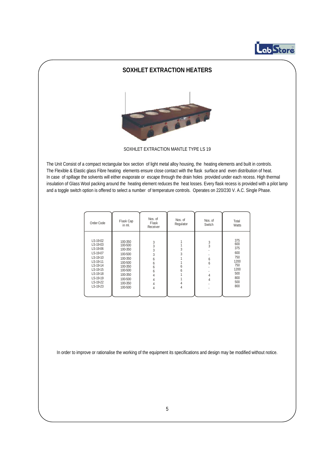

### **SOXHLET EXTRACTION HEATERS**



SOXHLET EXTRACTION MANTLE TYPE LS 19

The Unit Consist of a compact rectangular box section of light metal alloy housing, the heating elements and built in controls. The Flexible & Elastic glass Fibre heating elements ensure close contact with the flask surface and even distribution of heat. In case of spillage the solvents will either evaporate or escape through the drain holes provided under each recess. High thermal insulation of Glass Wool packing around the heating element reduces the heat losses. Every flask recess is provided with a pilot lamp and a toggle switch option is offered to select a number of temperature controls. Operates on 220/230 V. A.C. Single Phase.

| Order Code                                                                                                                                         | Flask Cap<br>in ml.                                                                                                              | Nos. of<br>Flask<br>Receiver                             | Nos. of<br>Regulator  | Nos. of<br>Switch                 | Total<br>Watts                                                                     |
|----------------------------------------------------------------------------------------------------------------------------------------------------|----------------------------------------------------------------------------------------------------------------------------------|----------------------------------------------------------|-----------------------|-----------------------------------|------------------------------------------------------------------------------------|
| $IS-19-02$<br>LS-19-03<br>LS-19-06<br>LS-19-07<br>LS-19-10<br>$IS-19-11$<br>LS-19-14<br>LS-19-15<br>LS-19-18<br>$IS-19-19$<br>LS-19-22<br>LS-19-23 | 100-350<br>100-500<br>100-350<br>100-500<br>100-350<br>100-500<br>100-350<br>100-500<br>100-350<br>100-500<br>100-350<br>100-500 | 3<br>3<br>3<br>3<br>6<br>6<br>h<br>h<br>4<br>4<br>4<br>4 | 3<br>3<br>h<br>h<br>4 | $\frac{3}{3}$<br>6<br>6<br>4<br>4 | 375<br>600<br>375<br>600<br>750<br>1200<br>750<br>1200<br>500<br>800<br>500<br>800 |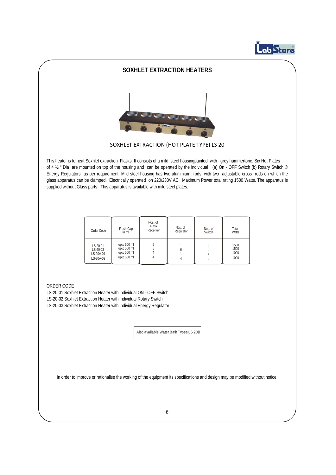

### **SOXHLET EXTRACTION HEATERS**



SOXHLET EXTRACTION (HOT PLATE TYPE) LS 20

This heater is to heat Soxhlet extraction Flasks. It consists of a mild steel housingpainted with grey hammertone. Six Hot Plates of 4  $\frac{1}{2}$  " Dia are mounted on top of the housing and can be operated by the individual (a) On - OFF Switch (b) Rotary Switch  $\circ$ Energy Regulators as per requirement. Mild steel housing has two aluminium rods, with two adjustable cross rods on which the glass apparatus can be clamped. Electrically operated on 220/230V AC. Maximum Power total rating 1500 Watts. The apparatus is supplied without Glass parts. This apparatus is available with mild steel plates.

| Order Code                                     | Flask Cap<br>in ml.                                      | Nos. of<br>Flask<br>Receiver | Nos. of<br>Regulator | Nos. of<br>Switch | Total<br>Watts               |
|------------------------------------------------|----------------------------------------------------------|------------------------------|----------------------|-------------------|------------------------------|
| LS-20-01<br>LS-20-03<br>LS-20A-01<br>LS-20A-03 | upto 500 ml<br>upto 500 ml<br>upto 500 ml<br>upto 500 ml |                              |                      | 6                 | 1500<br>1500<br>1000<br>1000 |

#### ORDER CODE

LS-20-01 Soxhlet Extraction Heater with individual ON - OFF Switch LS-20-02 Soxhlet Extraction Heater with individual Rotary Switch LS-20-03 Soxhlet Extraction Heater with individual Energy Regulator

Also available Water Bath Types LS 20B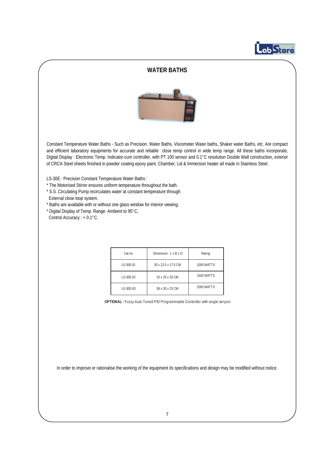# Lob Store

#### **WATER BATHS**



Constant Temperature Water Baths - Such as Precision. Water Baths, Viscometer Water baths, Shaker water Baths, etc. Are compact and efficient laboratory equipments for accurate and reliable close temp control in wide temp range. All these baths incorporate, Digital Display : Electronic Temp. Indicator-cum controller, with PT 100 sensor and 0.1°C resolution Double Wall construction, exterior of CRCA Steel sheets finished in powder coating epoxy paint. Chamber, Lid & Immersion heater all made in Stainless Steel.

LS-30E : Precision Constant Temperature Water Baths :

- \* The Motorised Stirrer ensures uniform temperature throughout the bath.
- \* S.S. Circulating Pump recirculates water at constant temperature through External close loop system.
- \* Baths are available with or without one glass window for interior viewing.
- \* Digital Display of Temp. Range: Ambient to 95°C, Control Accuracy : + 0.1°C.

| Cat no.    | Dimension: $L \times B \times D$ | Rating            |
|------------|----------------------------------|-------------------|
| I S-30F-01 | 30 x 22.5 x 17.5 CM              | 1000 WATTS        |
| I S-30F-02 | 33 x 25 x 20 CM                  | <b>1500 WATTS</b> |
| LS-30E-03  | 38 x 30 x 25 CM                  | 2000 WATTS        |

**OPTIONAL :** Fuzzy Auto Tuned PID Programmable Controller with single set poin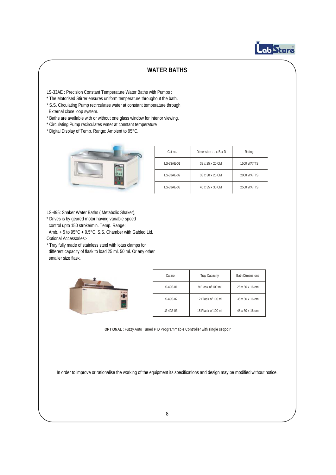

## **WATER BATHS**

LS-33AE : Precision Constant Temperature Water Baths with Pumps :

- \* The Motorised Stirrer ensures uniform temperature throughout the bath.
- \* S.S. Circulating Pump recirculates water at constant temperature through External close loop system.
- \* Baths are available with or without one glass window for interior viewing.
- \* Circulating Pump recirculates water at constant temperature
- \* Digital Display of Temp. Range: Ambient to 95°C,



| Cat no.     | Dimension: $L \times B \times D$ | Rating            |
|-------------|----------------------------------|-------------------|
| I S-33AF-01 | 33 x 25 x 20 CM                  | <b>1500 WATTS</b> |
| I S-33AF-02 | 38 x 30 x 25 CM                  | 2000 WATTS        |
| I S-33AF-03 | 45 x 35 x 30 CM                  | 2500 WATTS        |

LS-495: Shaker Water Baths ( Metabolic Shaker),

\* Drives is by geared motor having variable speed control upto 150 stroke/min. Temp. Range:

Amb. + 5 to 95°C + 0.5°C. S.S. Chamber with Gabled Lid.

- Optional Accessories:-
- \* Tray fully made of stainless steel with lotus clamps for different capacity of flask to load 25 ml. 50 ml. Or any other smaller size flask.



| Cat no.    | <b>Tray Capacity</b> | <b>Bath Dimensions</b> |
|------------|----------------------|------------------------|
| I S-49S-01 | 9 Flask of 100 ml    | 28 x 30 x 16 cm        |
| IS-49S-02  | 12 Flask of 100 ml   | 38 x 30 x 16 cm        |
| IS-49S-03  | 15 Flask of 100 ml   | 48 x 30 x 16 cm        |

**OPTIONAL :** Fuzzy Auto Tuned PID Programmable Controller with single set poin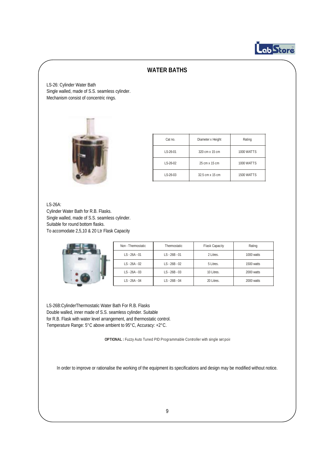

### **WATER BATHS**

LS-26: Cylinder Water Bath Single walled, made of S.S. seamless cylinder. Mechanism consist of concentric rings.



| Cat no.         | Diameter x Height | Rating            |
|-----------------|-------------------|-------------------|
| $1 S - 26 - 01$ | 320 cm x 15 cm    | <b>1000 WATTS</b> |
| $1 S - 26 - 02$ | 25 cm x 15 cm     | <b>1000 WATTS</b> |
| $1 S - 26 - 03$ | 32.5 cm x 15 cm   | <b>1500 WATTS</b> |

LS-26A:

Cylinder Water Bath for R.B. Flasks. Single walled, made of S.S. seamless cylinder. Suitable for round bottom flasks. To accomodate 2,5,10 & 20 Ltr Flask Capacity



| Non - Thermostatic | Thermostatic    | <b>Flask Capacity</b> | Rating     |
|--------------------|-----------------|-----------------------|------------|
| $IS - 26A - 01$    | $IS - 26B - 01$ | 2 Litres.             | 1000 watts |
| $IS - 26A - 02$    | $LS - 26B - 02$ | 5 Litres.             | 1500 watts |
| $IS - 26A - 03$    | $IS - 26B - 03$ | 10 Litres.            | 2000 watts |
| $IS - 26A - 04$    | $IS - 26B - 04$ | 20 Litres.            | 2000 watts |

LS-26B:CylinderThermostatic Water Bath For R.B. Flasks Double walled, inner made of S.S. seamless cylinder. Suitable for R.B. Flask with water level arrangement, and thermostatic control. Temperature Range: 5°C above ambient to 95°C, Accuracy: +2°C.

**OPTIONAL :** Fuzzy Auto Tuned PID Programmable Controller with single set poin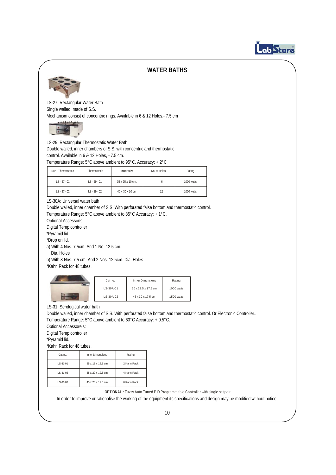

#### **WATER BATHS**



LS-27: Rectangular Water Bath Single walled, made of S.S. Mechanism consist of concentric rings. Available in 6 & 12 Holes.- 7.5 cm



LS-29: Rectangular Thermostatic Water Bath Double walled, inner chambers of S.S. with concentric and thermostatic control. Available in 6 & 12 Holes, - 7.5 cm.

Temperature Range: 5°C above ambient to 95°C, Accuracy: + 2°C

| Non - Thermostatic | Thermostatic   | Inner size       | No. of Holes | Rating     |
|--------------------|----------------|------------------|--------------|------------|
| $IS - 27 - 01$     | $IS - 29 - 01$ | 35 x 25 x 10 cm. | h            | 1000 watts |
| $IS - 27 - 02$     | $IS - 29 - 02$ | 40 x 30 x 10 cm  | 12           | 1000 watts |

LS-30A: Universal water bath

Double walled, inner chamber of S.S. With perforated false bottom and thermostatic control. Temperature Range: 5°C above ambient to 85°C Accuracy: + 1°C.

Optional Accessoris:

Digital Temp controller

\*Pyramid lid.

\*Drop on lid.

a) With 4 Nos. 7.5cm. And 1 No. 12.5 cm.

Dia. Holes

b) With 8 Nos. 7.5 cm. And 2 Nos. 12.5cm. Dia. Holes

\*Kahn Rack for 48 tubes.

| Inner Dimensions<br>Cat no. |                     | Rating     |
|-----------------------------|---------------------|------------|
| LS-30A-01                   | 30 x 22.5 x 17.5 cm | 1000 watts |
| LS-30A-02                   | 45 x 30 x 17.5 cm   | 1500 watts |

LS-31: Serological water bath

Double walled, inner chamber of S.S. With perforated false bottom and thermostatic control. Or Electronic Controller..

Temperature Range: 5°C above ambient to 60°C Accuracy: + 0.5°C.

Optional Accessoreis:

Digital Temp controller

\*Pyramid lid.

\*Kahn Rack for 48 tubes.

| Cat no.         | <b>Inner Dimensions</b> | Rating      |  |
|-----------------|-------------------------|-------------|--|
| LS-31-01        | 25 x 15 x 12.5 cm       | 2 Kahn Rack |  |
| $1 S - 31 - 02$ | 35 x 20 x 12.5 cm       | 4 Kahn Rack |  |
| LS-31-03        | 45 x 20 x 12.5 cm       | 6 Kahn Rack |  |

**OPTIONAL :** Fuzzy Auto Tuned PID Programmable Controller with single set poin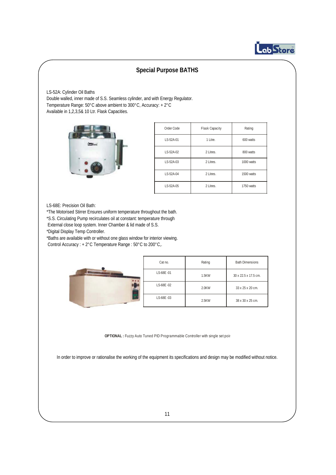

LS-52A: Cylinder Oil Baths Double walled, inner made of S.S. Seamless cylinder, and with Energy Regulator. Temperature Range: 50°C above ambient to 300°C, Accuracy: + 2°C Available in 1,2,3,5& 10 Ltr. Flask Capacities.



| Order Code | Flask Capacity | Rating     |
|------------|----------------|------------|
| LS-52A-01  | 1 Litre.       | 600 watts  |
| LS-52A-02  | 2 Litres.      | 800 watts  |
| IS-52A-03  | 2 Litres.      | 1000 watts |
| IS-52A-04  | 2 Litres.      | 1500 watts |
| IS-52A-05  | 2 Litres.      | 1750 watts |

#### LS-68E: Precision Oil Bath:

\*The Motorised Stirrer Ensures uniform temperature throughout the bath.

\*S.S. Circulating Pump recirculates oil at constant: temperature through

External close loop system. Inner Chamber & lid made of S.S.

\*Digital Display Temp Controller.

\*Baths are available with or without one glass window for interior viewing. Control Accuracy : + 2°C Temperature Range : 50°C to 200°C,.

| Cat no.   | Rating | <b>Bath Dimensions</b> |
|-----------|--------|------------------------|
| LS-68E-01 | 1.5KW  | 30 x 22.5 x 17.5 cm.   |
| LS-68E-02 | 2.0KW  | 33 x 25 x 20 cm.       |
| LS-68E-03 | 2.5KW  | 38 x 30 x 25 cm.       |

**OPTIONAL :** Fuzzy Auto Tuned PID Programmable Controller with single set poin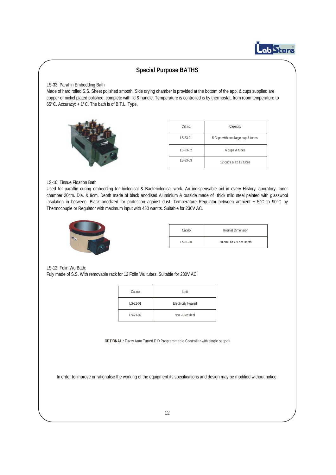

#### LS-33: Paraffin Embedding Bath

Made of hard rolled S.S. Sheet polished smooth. Side drying chamber is provided at the bottom of the app. & cups supplied are copper or nickel plated polished, complete with lid & handle. Temperature is controlled is by thermostat, from room temperature to 65°C. Accuracy: + 1°C. The bath is of B.T.L. Type,



| Cat no.         | Capacity                          |  |
|-----------------|-----------------------------------|--|
| $1 S - 33 - 01$ | 5 Cups with one large cup & tubes |  |
| $IS-33-02$      | 6 cups & tubes                    |  |
| LS-33-03        | 12 cups & 12 12 tubes             |  |

#### LS-10: Tissue Floation Bath

Used for paraffin curing embedding for biological & Bacteriological work. An indispensable aid in every History laboratory. Inner chamber 20cm. Dia. & 9cm. Depth made of black anodised Aluminium & outside made of thick mild steel painted with glasswool insulation in between. Black anodized for protection against dust. Temperature Regulator between ambient + 5°C to 90°C by Thermocouple or Regulator with maximum input with 450 wantts. Suitable for 230V AC.



| Cat no.     | Internal Dimension     |
|-------------|------------------------|
| $1 S-10-01$ | 20 cm Dia x 9 cm Depth |

LS-12: Folin Wu Bath:

Fuly made of S.S. With removable rack for 12 Folin Wu tubes. Suitable for 230V AC.

| Cat no.    | lunit                     |
|------------|---------------------------|
| $IS-21-01$ | <b>Electricity Heated</b> |
| $IS-21-02$ | Non - Flectrical          |

**OPTIONAL :** Fuzzy Auto Tuned PID Programmable Controller with single set poin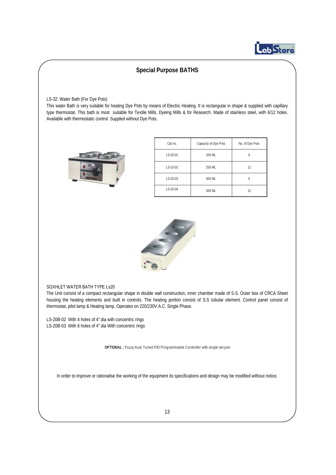

LS-32: Water Bath (For Dye Pots)

This water Bath is very suitable for heating Dye Pots by means of Electric Heating. It is rectangular in shape & supplied with capillary type thermostat. This bath is most suitable for Textile Mills, Dyeing Mills & for Research. Made of stainless steel, with 6/12 holes. Available with thermostatic control. Suppled without Dye Pots.



| Cat no.  | Capacity of Dye Pots | No. of Dye Pots |
|----------|----------------------|-----------------|
| LS-32-01 | 250 ML               |                 |
| LS-32-02 | 250 ML               | 12              |
| LS-32-03 | 500 ML               | h               |
| LS-32-04 | 500 ML               | 12              |



#### SOXHLET WATER BATH TYPE Ls20

The Unit consist of a compact rectangular shape in double wall construction, inner chamber made of S.S. Outer box of CRCA Sheet housing the heating elements and built in controls. The heating portion consist of S.S tubular element. Control panel consist of thermostat, pilot lamp & Heating lamp, Operates on 220/230V.A.C. Single Phase.

LS-20B-02 With 4 holes of 4" dia with concentric rings LS-20B-03 With 6 holes of 4" dia With concentric rings

**OPTIONAL :** Fuzzy Auto Tuned PID Programmable Controller with single set poin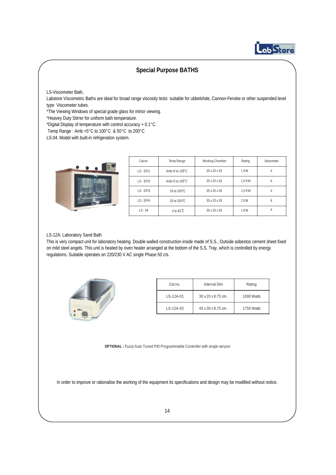

LS-Viscometer Bath,

Labstore Viscometric Baths are ideal for broad range viscosity tests suitable for ubbelohde, Cannon-Fenske or other suspended level type Viscometer tubes.

\*The Viewing Windows of special grade glass for intrior viewing.

\*Heavey Duty Stirrer for uniform bath temperature.

\*Digital Display of temperature with control accuracy + 0.1°C.

Temp Range : Amb +5°C to 100°C & 50°C to 200°C

LS.04: Model with built-in refrigeration system.



| Cat.no      | Temp Range               | Working Chamber | Rating | Viscometer |
|-------------|--------------------------|-----------------|--------|------------|
| $LS - SP/1$ | Amb+5 to $100^{\circ}$ C | 35 x 20 x 30    | 1 KW   |            |
| $LS - SP/2$ | Amb+5 to $100^{\circ}$ C | 35 x 20 x 30    | 1.5 KW |            |
| $LS - SP/3$ | 50 to 200°C              | 35 x 20 x 30    | 1.5 KW |            |
| $LS - SP/4$ | 50 to 200°C              | 35 x 20 x 30    | 2 KW   |            |
| $LS - 04$   | 0 to 80 $\mathbb{C}$     | 35 x 20 x 30    | 1 KW   |            |

#### LS-12A: Laboratory Sand Bath

This is very compact unit for laboratory heating. Double walled construction inside made of S.S., Outside asbestos cement sheet fixed on mild steel angels. This unit is heated by oven heater arranged at the bottom of the S.S. Tray, which is controlled by energy regulations. Suitable operates on 220/230 V AC single Phase 50 c/s.



| Cat no.         | Internal Dim                   | Rating     |
|-----------------|--------------------------------|------------|
| $LS-12A-01$     | $30 \times 20 \times 8.75$ cm. | 1000 Watts |
| $LS - 12A - 02$ | 45 x 30 x 8.75 cm.             | 1750 Watts |

**OPTIONAL :** Fuzzy Auto Tuned PID Programmable Controller with single set poin